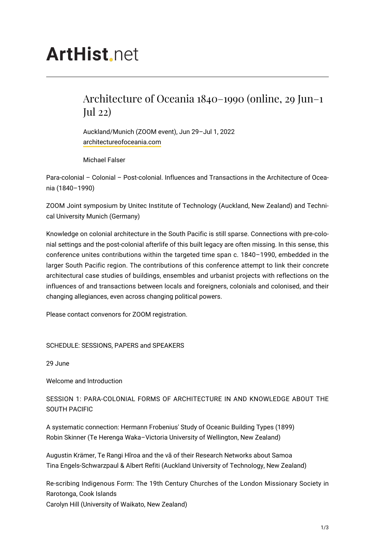# **ArtHist** net

## Architecture of Oceania 1840–1990 (online, 29 Jun–1 Jul 22)

Auckland/Munich (ZOOM event), Jun 29–Jul 1, 2022 [architectureofoceania.com](https://architectureofoceania.com/)

Michael Falser

Para-colonial – Colonial – Post-colonial. Influences and Transactions in the Architecture of Oceania (1840–1990)

ZOOM Joint symposium by Unitec Institute of Technology (Auckland, New Zealand) and Technical University Munich (Germany)

Knowledge on colonial architecture in the South Pacific is still sparse. Connections with pre-colonial settings and the post-colonial afterlife of this built legacy are often missing. In this sense, this conference unites contributions within the targeted time span c. 1840–1990, embedded in the larger South Pacific region. The contributions of this conference attempt to link their concrete architectural case studies of buildings, ensembles and urbanist projects with reflections on the influences of and transactions between locals and foreigners, colonials and colonised, and their changing allegiances, even across changing political powers.

Please contact convenors for ZOOM registration.

SCHEDULE: SESSIONS, PAPERS and SPEAKERS

29 June

Welcome and Introduction

SESSION 1: PARA-COLONIAL FORMS OF ARCHITECTURE IN AND KNOWLEDGE ABOUT THE SOUTH PACIFIC

A systematic connection: Hermann Frobenius' Study of Oceanic Building Types (1899) Robin Skinner (Te Herenga Waka–Victoria University of Wellington, New Zealand)

Augustin Krämer, Te Rangi Hīroa and the vā of their Research Networks about Samoa Tina Engels-Schwarzpaul & Albert Refiti (Auckland University of Technology, New Zealand)

Re-scribing Indigenous Form: The 19th Century Churches of the London Missionary Society in Rarotonga, Cook Islands Carolyn Hill (University of Waikato, New Zealand)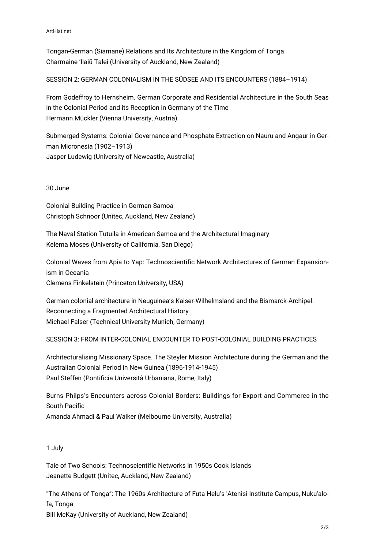ArtHist.net

Tongan-German (Siamane) Relations and Its Architecture in the Kingdom of Tonga Charmaine 'Ilaiū Talei (University of Auckland, New Zealand)

SESSION 2: GERMAN COLONIALISM IN THE SÜDSEE AND ITS ENCOUNTERS (1884–1914)

From Godeffroy to Hernsheim. German Corporate and Residential Architecture in the South Seas in the Colonial Period and its Reception in Germany of the Time Hermann Mückler (Vienna University, Austria)

Submerged Systems: Colonial Governance and Phosphate Extraction on Nauru and Angaur in German Micronesia (1902–1913) Jasper Ludewig (University of Newcastle, Australia)

30 June

Colonial Building Practice in German Samoa Christoph Schnoor (Unitec, Auckland, New Zealand)

The Naval Station Tutuila in American Samoa and the Architectural Imaginary Kelema Moses (University of California, San Diego)

Colonial Waves from Apia to Yap: Technoscientific Network Architectures of German Expansionism in Oceania Clemens Finkelstein (Princeton University, USA)

German colonial architecture in Neuguinea's Kaiser-Wilhelmsland and the Bismarck-Archipel. Reconnecting a Fragmented Architectural History Michael Falser (Technical University Munich, Germany)

SESSION 3: FROM INTER-COLONIAL ENCOUNTER TO POST-COLONIAL BUILDING PRACTICES

Architecturalising Missionary Space. The Steyler Mission Architecture during the German and the Australian Colonial Period in New Guinea (1896-1914-1945) Paul Steffen (Pontificia Università Urbaniana, Rome, Italy)

Burns Philps's Encounters across Colonial Borders: Buildings for Export and Commerce in the South Pacific Amanda Ahmadi & Paul Walker (Melbourne University, Australia)

### 1 July

Tale of Two Schools: Technoscientific Networks in 1950s Cook Islands Jeanette Budgett (Unitec, Auckland, New Zealand)

"The Athens of Tonga": The 1960s Architecture of Futa Helu's 'Atenisi Institute Campus, Nuku'alofa, Tonga Bill McKay (University of Auckland, New Zealand)